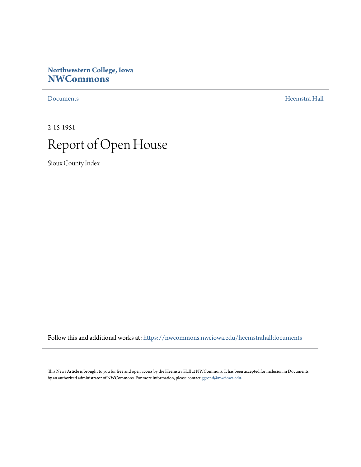## **Northwestern College, Iowa [NWCommons](https://nwcommons.nwciowa.edu?utm_source=nwcommons.nwciowa.edu%2Fheemstrahalldocuments%2F9&utm_medium=PDF&utm_campaign=PDFCoverPages)**

[Documents](https://nwcommons.nwciowa.edu/heemstrahalldocuments?utm_source=nwcommons.nwciowa.edu%2Fheemstrahalldocuments%2F9&utm_medium=PDF&utm_campaign=PDFCoverPages) [Heemstra Hall](https://nwcommons.nwciowa.edu/heemstrahallcollection?utm_source=nwcommons.nwciowa.edu%2Fheemstrahalldocuments%2F9&utm_medium=PDF&utm_campaign=PDFCoverPages)

2-15-1951



Sioux County Index

Follow this and additional works at: [https://nwcommons.nwciowa.edu/heemstrahalldocuments](https://nwcommons.nwciowa.edu/heemstrahalldocuments?utm_source=nwcommons.nwciowa.edu%2Fheemstrahalldocuments%2F9&utm_medium=PDF&utm_campaign=PDFCoverPages)

This News Article is brought to you for free and open access by the Heemstra Hall at NWCommons. It has been accepted for inclusion in Documents by an authorized administrator of NWCommons. For more information, please contact [ggrond@nwciowa.edu](mailto:ggrond@nwciowa.edu).